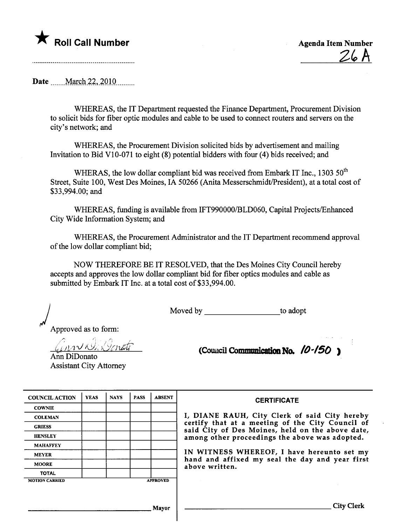## $\mathsf K$  Roll Call Number

**Agenda Item Number**  $26A$ 

Date March 22, 2010

WHEREAS, the IT Department requested the Finance Department, Procurement Division to solicit bids for fiber optic modules and cable to be used to connect routers and servers on the city's network; and

WHEREAS, the Procurement Division solicited bids by advertisement and mailing Invitation to Bid V10-071 to eight (8) potential bidders with four (4) bids received; and

WHERAS, the low dollar compliant bid was received from Embark IT Inc., 1303 50<sup>th</sup> Street, Suite 100, West Des Moines, IA 50266 (Anita Messerschmidt/President), at a total cost of \$33,994.00; and

WHEREAS, funding is available from IFT990000/BLD060, Capital Projects/Enhanced City Wide Information System: and

WHEREAS, the Procurement Administrator and the IT Department recommend approval of the low dollar compliant bid;

NOW THEREFORE BE IT RESOLVED, that the Des Moines City Council hereby accepts and approves the low dollar compliant bid for fiber optics modules and cable as submitted by Embark IT Inc. at a total cost of \$33,994.00.

Moved by to adopt

Approved as to form:

inn Klik Venati Ann DiDonato **Assistant City Attorney** 

(Council Communication No.  $10-150$ )

| <b>COUNCIL ACTION</b> | <b>YEAS</b> | <b>NAYS</b> | <b>PASS</b> | <b>ABSENT</b>   |
|-----------------------|-------------|-------------|-------------|-----------------|
| <b>COWNIE</b>         |             |             |             |                 |
| <b>COLEMAN</b>        |             |             |             |                 |
| <b>GRIESS</b>         |             |             |             |                 |
| <b>HENSLEY</b>        |             |             |             |                 |
| <b>MAHAFFEY</b>       |             |             |             |                 |
| <b>MEYER</b>          |             |             |             |                 |
| <b>MOORE</b>          |             |             |             |                 |
| <b>TOTAL</b>          |             |             |             |                 |
| <b>MOTION CARRIED</b> |             |             |             | <b>APPROVED</b> |

**CERTIFICATE** I, DIANE RAUH, City Clerk of said City hereby certify that at a meeting of the City Council of said City of Des Moines, held on the above date, among other proceedings the above was adopted.

IN WITNESS WHEREOF, I have hereunto set my hand and affixed my seal the day and year first above written.

Mayor